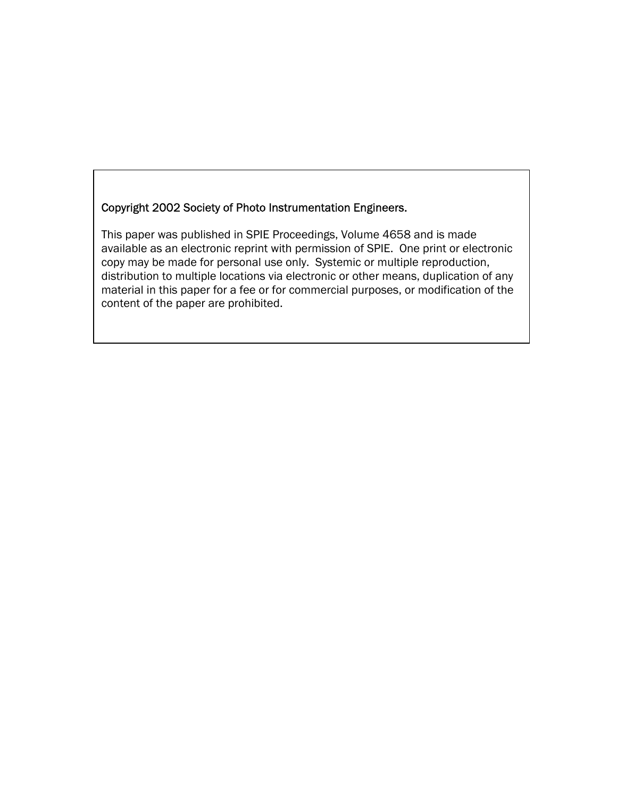## Copyright 2002 Society of Photo Instrumentation Engineers.

This paper was published in SPIE Proceedings, Volume 4658 and is made available as an electronic reprint with permission of SPIE. One print or electronic copy may be made for personal use only. Systemic or multiple reproduction, distribution to multiple locations via electronic or other means, duplication of any material in this paper for a fee or for commercial purposes, or modification of the content of the paper are prohibited.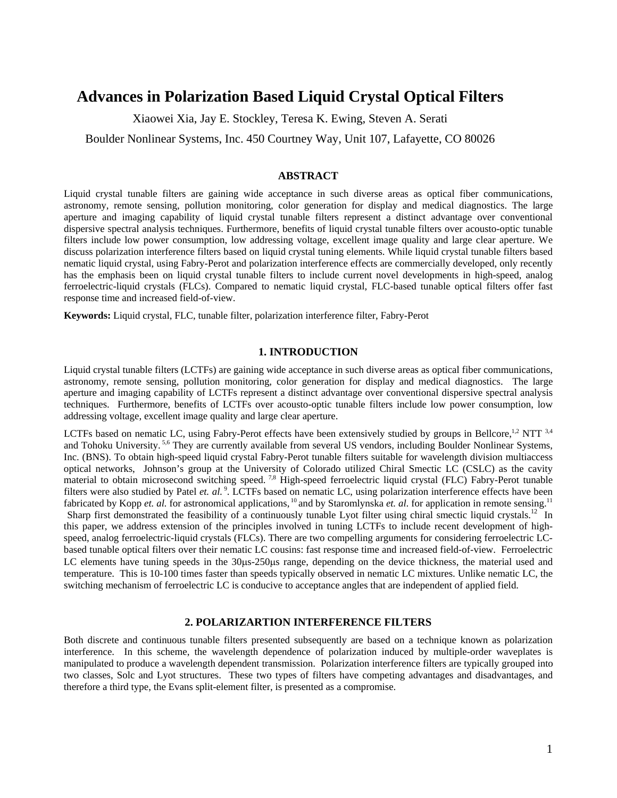# **Advances in Polarization Based Liquid Crystal Optical Filters**

Xiaowei Xia, Jay E. Stockley, Teresa K. Ewing, Steven A. Serati

Boulder Nonlinear Systems, Inc. 450 Courtney Way, Unit 107, Lafayette, CO 80026

#### **ABSTRACT**

Liquid crystal tunable filters are gaining wide acceptance in such diverse areas as optical fiber communications, astronomy, remote sensing, pollution monitoring, color generation for display and medical diagnostics. The large aperture and imaging capability of liquid crystal tunable filters represent a distinct advantage over conventional dispersive spectral analysis techniques. Furthermore, benefits of liquid crystal tunable filters over acousto-optic tunable filters include low power consumption, low addressing voltage, excellent image quality and large clear aperture. We discuss polarization interference filters based on liquid crystal tuning elements. While liquid crystal tunable filters based nematic liquid crystal, using Fabry-Perot and polarization interference effects are commercially developed, only recently has the emphasis been on liquid crystal tunable filters to include current novel developments in high-speed, analog ferroelectric-liquid crystals (FLCs). Compared to nematic liquid crystal, FLC-based tunable optical filters offer fast response time and increased field-of-view.

**Keywords:** Liquid crystal, FLC, tunable filter, polarization interference filter, Fabry-Perot

#### **1. INTRODUCTION**

Liquid crystal tunable filters (LCTFs) are gaining wide acceptance in such diverse areas as optical fiber communications, astronomy, remote sensing, pollution monitoring, color generation for display and medical diagnostics. The large aperture and imaging capability of LCTFs represent a distinct advantage over conventional dispersive spectral analysis techniques. Furthermore, benefits of LCTFs over acousto-optic tunable filters include low power consumption, low addressing voltage, excellent image quality and large clear aperture.

LCTFs based on nematic LC, using Fabry-Perot effects have been extensively studied by groups in Bellcore,<sup>1,2</sup> NTT  $^{3,4}$ and Tohoku University.<sup>5,6</sup> They are currently available from several US vendors, including Boulder Nonlinear Systems, Inc. (BNS). To obtain high-speed liquid crystal Fabry-Perot tunable filters suitable for wavelength division multiaccess optical networks, Johnson's group at the University of Colorado utilized Chiral Smectic LC (CSLC) as the cavity material to obtain microsecond switching speed.<sup>7,8</sup> High-speed ferroelectric liquid crystal (FLC) Fabry-Perot tunable filters were also studied by Patel et. al.<sup>9</sup>. LCTFs based on nematic LC, using polarization interference effects have been fabricated by Kopp *et. al.* for astronomical applications, <sup>10</sup> and by Staromlynska *et. al.* for application in remote sensing.<sup>11</sup> Sharp first demonstrated the feasibility of a continuously tunable Lyot filter using chiral smectic liquid crystals.<sup>12</sup> In this paper, we address extension of the principles involved in tuning LCTFs to include recent development of highspeed, analog ferroelectric-liquid crystals (FLCs). There are two compelling arguments for considering ferroelectric LCbased tunable optical filters over their nematic LC cousins: fast response time and increased field-of-view. Ferroelectric LC elements have tuning speeds in the 30µs-250µs range, depending on the device thickness, the material used and temperature. This is 10-100 times faster than speeds typically observed in nematic LC mixtures. Unlike nematic LC, the switching mechanism of ferroelectric LC is conducive to acceptance angles that are independent of applied field.

#### **2. POLARIZARTION INTERFERENCE FILTERS**

Both discrete and continuous tunable filters presented subsequently are based on a technique known as polarization interference. In this scheme, the wavelength dependence of polarization induced by multiple-order waveplates is manipulated to produce a wavelength dependent transmission. Polarization interference filters are typically grouped into two classes, Solc and Lyot structures. These two types of filters have competing advantages and disadvantages, and therefore a third type, the Evans split-element filter, is presented as a compromise.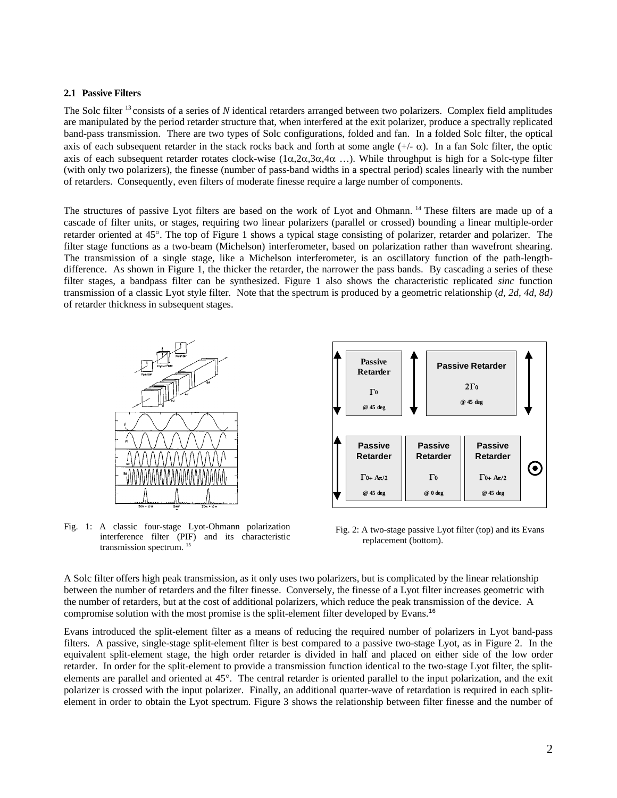#### **2.1 Passive Filters**

The Solc filter 13 consists of a series of *N* identical retarders arranged between two polarizers. Complex field amplitudes are manipulated by the period retarder structure that, when interfered at the exit polarizer, produce a spectrally replicated band-pass transmission. There are two types of Solc configurations, folded and fan. In a folded Solc filter, the optical axis of each subsequent retarder in the stack rocks back and forth at some angle  $(+/- \alpha)$ . In a fan Solc filter, the optic axis of each subsequent retarder rotates clock-wise  $(1\alpha, 2\alpha, 3\alpha, 4\alpha \dots)$ . While throughput is high for a Solc-type filter (with only two polarizers), the finesse (number of pass-band widths in a spectral period) scales linearly with the number of retarders. Consequently, even filters of moderate finesse require a large number of components.

The structures of passive Lyot filters are based on the work of Lyot and Ohmann.<sup>14</sup> These filters are made up of a cascade of filter units, or stages, requiring two linear polarizers (parallel or crossed) bounding a linear multiple-order retarder oriented at 45°. The top of Figure 1 shows a typical stage consisting of polarizer, retarder and polarizer. The filter stage functions as a two-beam (Michelson) interferometer, based on polarization rather than wavefront shearing. The transmission of a single stage, like a Michelson interferometer, is an oscillatory function of the path-lengthdifference. As shown in Figure 1, the thicker the retarder, the narrower the pass bands. By cascading a series of these filter stages, a bandpass filter can be synthesized. Figure 1 also shows the characteristic replicated *sinc* function transmission of a classic Lyot style filter. Note that the spectrum is produced by a geometric relationship (*d, 2d, 4d, 8d)* of retarder thickness in subsequent stages.



Fig. 1: A classic four-stage Lyot-Ohmann polarization interference filter (PIF) and its characteristic transmission spectrum.<sup>15</sup>



 Fig. 2: A two-stage passive Lyot filter (top) and its Evans replacement (bottom).

A Solc filter offers high peak transmission, as it only uses two polarizers, but is complicated by the linear relationship between the number of retarders and the filter finesse. Conversely, the finesse of a Lyot filter increases geometric with the number of retarders, but at the cost of additional polarizers, which reduce the peak transmission of the device. A compromise solution with the most promise is the split-element filter developed by Evans.<sup>16</sup>

Evans introduced the split-element filter as a means of reducing the required number of polarizers in Lyot band-pass filters. A passive, single-stage split-element filter is best compared to a passive two-stage Lyot, as in Figure 2. In the equivalent split-element stage, the high order retarder is divided in half and placed on either side of the low order retarder. In order for the split-element to provide a transmission function identical to the two-stage Lyot filter, the splitelements are parallel and oriented at 45°. The central retarder is oriented parallel to the input polarization, and the exit polarizer is crossed with the input polarizer. Finally, an additional quarter-wave of retardation is required in each splitelement in order to obtain the Lyot spectrum. Figure 3 shows the relationship between filter finesse and the number of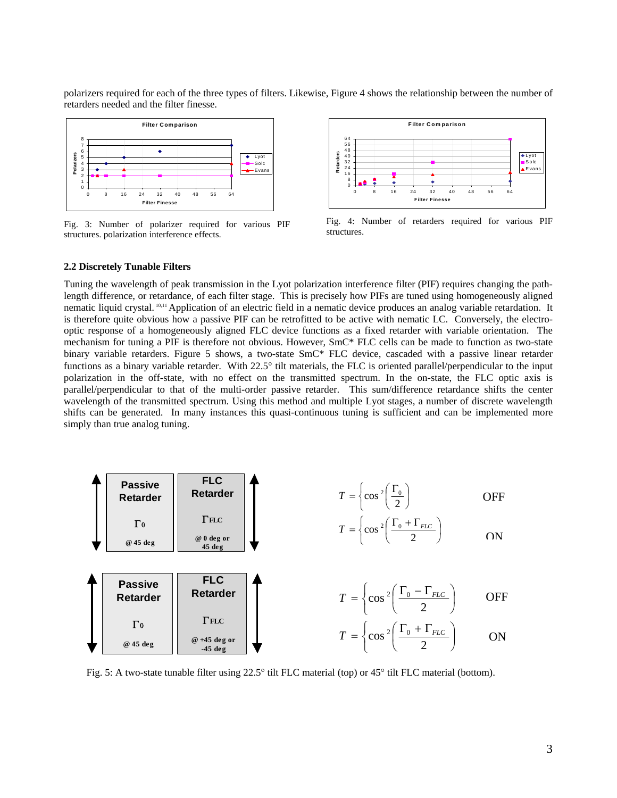polarizers required for each of the three types of filters. Likewise, Figure 4 shows the relationship between the number of retarders needed and the filter finesse.



Fig. 3: Number of polarizer required for various PIF structures. polarization interference effects.



Fig. 4: Number of retarders required for various PIF structures.

#### **2.2 Discretely Tunable Filters**

Tuning the wavelength of peak transmission in the Lyot polarization interference filter (PIF) requires changing the pathlength difference, or retardance, of each filter stage. This is precisely how PIFs are tuned using homogeneously aligned nematic liquid crystal. <sup>10,11</sup> Application of an electric field in a nematic device produces an analog variable retardation. It is therefore quite obvious how a passive PIF can be retrofitted to be active with nematic LC. Conversely, the electrooptic response of a homogeneously aligned FLC device functions as a fixed retarder with variable orientation. The mechanism for tuning a PIF is therefore not obvious. However, SmC\* FLC cells can be made to function as two-state binary variable retarders. Figure 5 shows, a two-state SmC\* FLC device, cascaded with a passive linear retarder functions as a binary variable retarder. With 22.5° tilt materials, the FLC is oriented parallel/perpendicular to the input polarization in the off-state, with no effect on the transmitted spectrum. In the on-state, the FLC optic axis is parallel/perpendicular to that of the multi-order passive retarder. This sum/difference retardance shifts the center wavelength of the transmitted spectrum. Using this method and multiple Lyot stages, a number of discrete wavelength shifts can be generated. In many instances this quasi-continuous tuning is sufficient and can be implemented more simply than true analog tuning.



Fig. 5: A two-state tunable filter using 22.5° tilt FLC material (top) or 45° tilt FLC material (bottom).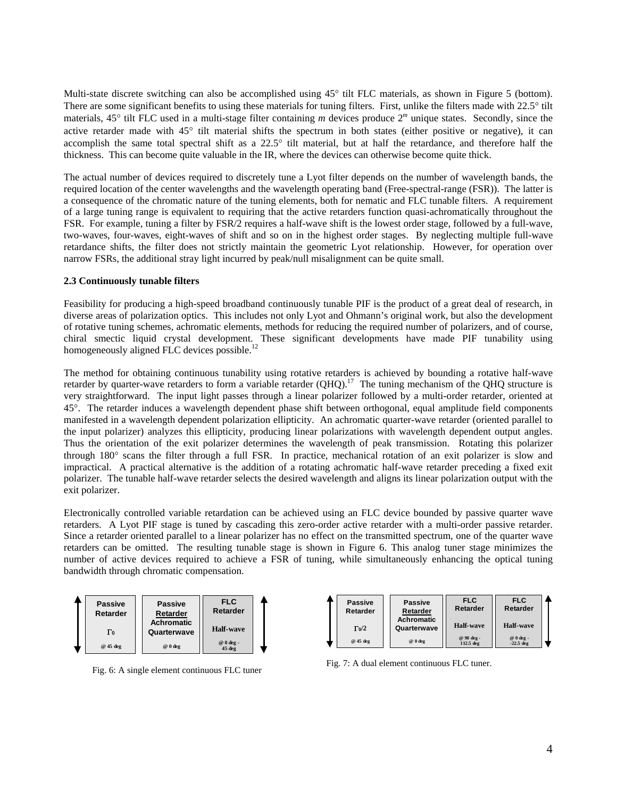Multi-state discrete switching can also be accomplished using 45° tilt FLC materials, as shown in Figure 5 (bottom). There are some significant benefits to using these materials for tuning filters. First, unlike the filters made with 22.5° tilt materials, 45° tilt FLC used in a multi-stage filter containing *m* devices produce 2*<sup>m</sup>* unique states. Secondly, since the active retarder made with 45° tilt material shifts the spectrum in both states (either positive or negative), it can accomplish the same total spectral shift as a 22.5° tilt material, but at half the retardance, and therefore half the thickness. This can become quite valuable in the IR, where the devices can otherwise become quite thick.

The actual number of devices required to discretely tune a Lyot filter depends on the number of wavelength bands, the required location of the center wavelengths and the wavelength operating band (Free-spectral-range (FSR)). The latter is a consequence of the chromatic nature of the tuning elements, both for nematic and FLC tunable filters. A requirement of a large tuning range is equivalent to requiring that the active retarders function quasi-achromatically throughout the FSR. For example, tuning a filter by FSR/2 requires a half-wave shift is the lowest order stage, followed by a full-wave, two-waves, four-waves, eight-waves of shift and so on in the highest order stages. By neglecting multiple full-wave retardance shifts, the filter does not strictly maintain the geometric Lyot relationship. However, for operation over narrow FSRs, the additional stray light incurred by peak/null misalignment can be quite small.

#### **2.3 Continuously tunable filters**

Feasibility for producing a high-speed broadband continuously tunable PIF is the product of a great deal of research, in diverse areas of polarization optics. This includes not only Lyot and Ohmann's original work, but also the development of rotative tuning schemes, achromatic elements, methods for reducing the required number of polarizers, and of course, chiral smectic liquid crystal development. These significant developments have made PIF tunability using homogeneously aligned FLC devices possible.<sup>12</sup>

The method for obtaining continuous tunability using rotative retarders is achieved by bounding a rotative half-wave retarder by quarter-wave retarders to form a variable retarder  $(QHQ)$ .<sup>17</sup> The tuning mechanism of the QHQ structure is very straightforward. The input light passes through a linear polarizer followed by a multi-order retarder, oriented at 45°. The retarder induces a wavelength dependent phase shift between orthogonal, equal amplitude field components manifested in a wavelength dependent polarization ellipticity. An achromatic quarter-wave retarder (oriented parallel to the input polarizer) analyzes this ellipticity, producing linear polarizations with wavelength dependent output angles. Thus the orientation of the exit polarizer determines the wavelength of peak transmission. Rotating this polarizer through 180° scans the filter through a full FSR. In practice, mechanical rotation of an exit polarizer is slow and impractical. A practical alternative is the addition of a rotating achromatic half-wave retarder preceding a fixed exit polarizer. The tunable half-wave retarder selects the desired wavelength and aligns its linear polarization output with the exit polarizer.

Electronically controlled variable retardation can be achieved using an FLC device bounded by passive quarter wave retarders. A Lyot PIF stage is tuned by cascading this zero-order active retarder with a multi-order passive retarder. Since a retarder oriented parallel to a linear polarizer has no effect on the transmitted spectrum, one of the quarter wave retarders can be omitted. The resulting tunable stage is shown in Figure 6. This analog tuner stage minimizes the number of active devices required to achieve a FSR of tuning, while simultaneously enhancing the optical tuning bandwidth through chromatic compensation.



Fig. 6: A single element continuous FLC tuner

| <b>Passive</b><br>Retarder | <b>Passive</b><br>Retarder       | <b>FLC</b><br>Retarder  | <b>FLC</b><br>Retarder   |  |
|----------------------------|----------------------------------|-------------------------|--------------------------|--|
| $\Gamma_0/2$               | <b>Achromatic</b><br>Quarterwave | <b>Half-wave</b>        | <b>Half-wave</b>         |  |
| @ 45 deg                   | $@0$ deg                         | @ 90 deg -<br>112.5 deg | @ 0 deg -<br>$-22.5$ deg |  |

Fig. 7: A dual element continuous FLC tuner.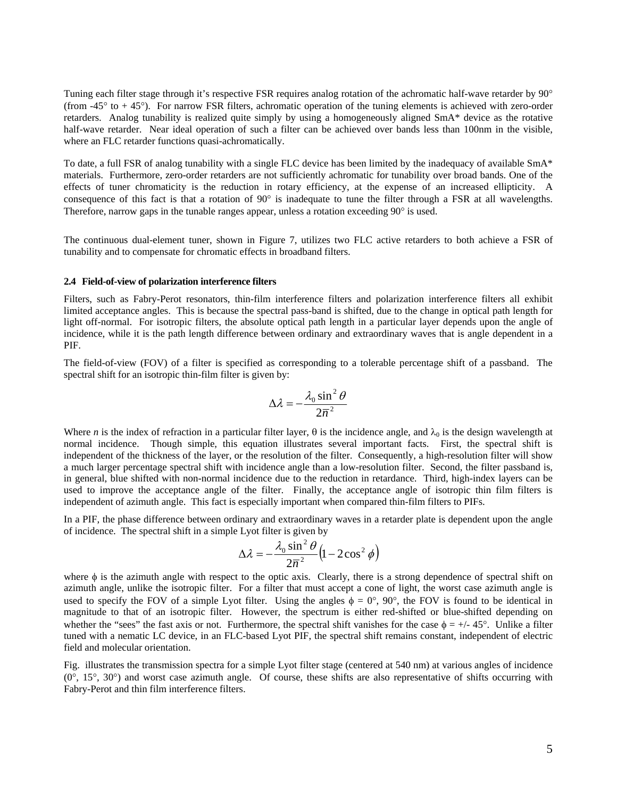Tuning each filter stage through it's respective FSR requires analog rotation of the achromatic half-wave retarder by 90° (from -45° to + 45°). For narrow FSR filters, achromatic operation of the tuning elements is achieved with zero-order retarders. Analog tunability is realized quite simply by using a homogeneously aligned SmA\* device as the rotative half-wave retarder. Near ideal operation of such a filter can be achieved over bands less than 100nm in the visible, where an FLC retarder functions quasi-achromatically.

To date, a full FSR of analog tunability with a single FLC device has been limited by the inadequacy of available SmA\* materials. Furthermore, zero-order retarders are not sufficiently achromatic for tunability over broad bands. One of the effects of tuner chromaticity is the reduction in rotary efficiency, at the expense of an increased ellipticity. A consequence of this fact is that a rotation of  $90^\circ$  is inadequate to tune the filter through a FSR at all wavelengths. Therefore, narrow gaps in the tunable ranges appear, unless a rotation exceeding 90° is used.

The continuous dual-element tuner, shown in Figure 7, utilizes two FLC active retarders to both achieve a FSR of tunability and to compensate for chromatic effects in broadband filters.

#### **2.4 Field-of-view of polarization interference filters**

Filters, such as Fabry-Perot resonators, thin-film interference filters and polarization interference filters all exhibit limited acceptance angles. This is because the spectral pass-band is shifted, due to the change in optical path length for light off-normal. For isotropic filters, the absolute optical path length in a particular layer depends upon the angle of incidence, while it is the path length difference between ordinary and extraordinary waves that is angle dependent in a PIF.

The field-of-view (FOV) of a filter is specified as corresponding to a tolerable percentage shift of a passband. The spectral shift for an isotropic thin-film filter is given by:

$$
\Delta \lambda = -\frac{\lambda_0 \sin^2 \theta}{2\overline{n}^2}
$$

Where *n* is the index of refraction in a particular filter layer,  $\theta$  is the incidence angle, and  $\lambda_0$  is the design wavelength at normal incidence. Though simple, this equation illustrates several important facts. First, the spectral shift is independent of the thickness of the layer, or the resolution of the filter. Consequently, a high-resolution filter will show a much larger percentage spectral shift with incidence angle than a low-resolution filter. Second, the filter passband is, in general, blue shifted with non-normal incidence due to the reduction in retardance. Third, high-index layers can be used to improve the acceptance angle of the filter. Finally, the acceptance angle of isotropic thin film filters is independent of azimuth angle. This fact is especially important when compared thin-film filters to PIFs.

In a PIF, the phase difference between ordinary and extraordinary waves in a retarder plate is dependent upon the angle of incidence. The spectral shift in a simple Lyot filter is given by

$$
\Delta \lambda = -\frac{\lambda_0 \sin^2 \theta}{2\pi^2} \left( 1 - 2 \cos^2 \phi \right)
$$

where  $\phi$  is the azimuth angle with respect to the optic axis. Clearly, there is a strong dependence of spectral shift on azimuth angle, unlike the isotropic filter. For a filter that must accept a cone of light, the worst case azimuth angle is used to specify the FOV of a simple Lyot filter. Using the angles  $\phi = 0^{\circ}$ , 90°, the FOV is found to be identical in magnitude to that of an isotropic filter. However, the spectrum is either red-shifted or blue-shifted depending on whether the "sees" the fast axis or not. Furthermore, the spectral shift vanishes for the case  $\phi = +/- 45^{\circ}$ . Unlike a filter tuned with a nematic LC device, in an FLC-based Lyot PIF, the spectral shift remains constant, independent of electric field and molecular orientation.

Fig. illustrates the transmission spectra for a simple Lyot filter stage (centered at 540 nm) at various angles of incidence (0°, 15°, 30°) and worst case azimuth angle. Of course, these shifts are also representative of shifts occurring with Fabry-Perot and thin film interference filters.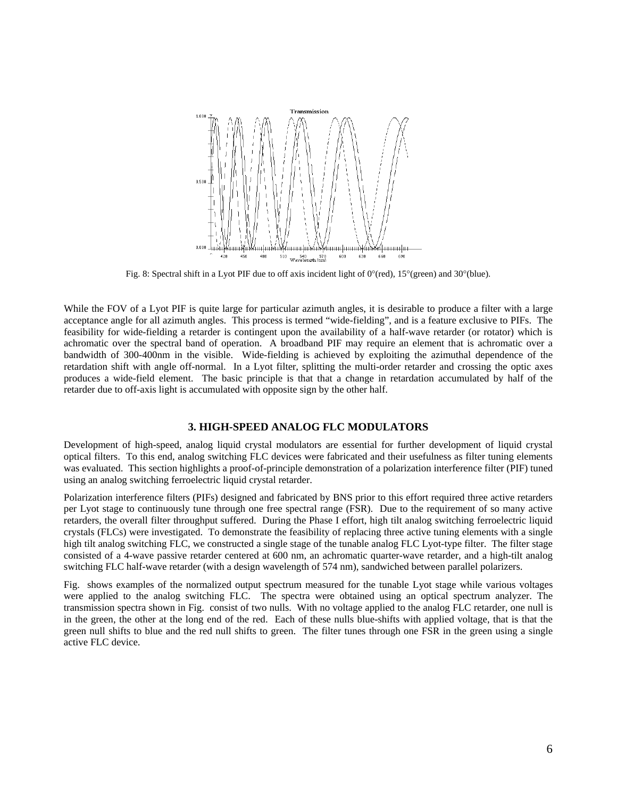

Fig. 8: Spectral shift in a Lyot PIF due to off axis incident light of  $0^{\circ}$ (red), 15°(green) and 30°(blue).

While the FOV of a Lyot PIF is quite large for particular azimuth angles, it is desirable to produce a filter with a large acceptance angle for all azimuth angles. This process is termed "wide-fielding", and is a feature exclusive to PIFs. The feasibility for wide-fielding a retarder is contingent upon the availability of a half-wave retarder (or rotator) which is achromatic over the spectral band of operation. A broadband PIF may require an element that is achromatic over a bandwidth of 300-400nm in the visible. Wide-fielding is achieved by exploiting the azimuthal dependence of the retardation shift with angle off-normal. In a Lyot filter, splitting the multi-order retarder and crossing the optic axes produces a wide-field element. The basic principle is that that a change in retardation accumulated by half of the retarder due to off-axis light is accumulated with opposite sign by the other half.

## **3. HIGH-SPEED ANALOG FLC MODULATORS**

Development of high-speed, analog liquid crystal modulators are essential for further development of liquid crystal optical filters. To this end, analog switching FLC devices were fabricated and their usefulness as filter tuning elements was evaluated. This section highlights a proof-of-principle demonstration of a polarization interference filter (PIF) tuned using an analog switching ferroelectric liquid crystal retarder.

Polarization interference filters (PIFs) designed and fabricated by BNS prior to this effort required three active retarders per Lyot stage to continuously tune through one free spectral range (FSR). Due to the requirement of so many active retarders, the overall filter throughput suffered. During the Phase I effort, high tilt analog switching ferroelectric liquid crystals (FLCs) were investigated. To demonstrate the feasibility of replacing three active tuning elements with a single high tilt analog switching FLC, we constructed a single stage of the tunable analog FLC Lyot-type filter. The filter stage consisted of a 4-wave passive retarder centered at 600 nm, an achromatic quarter-wave retarder, and a high-tilt analog switching FLC half-wave retarder (with a design wavelength of 574 nm), sandwiched between parallel polarizers.

Fig. shows examples of the normalized output spectrum measured for the tunable Lyot stage while various voltages were applied to the analog switching FLC. The spectra were obtained using an optical spectrum analyzer. The transmission spectra shown in Fig. consist of two nulls. With no voltage applied to the analog FLC retarder, one null is in the green, the other at the long end of the red. Each of these nulls blue-shifts with applied voltage, that is that the green null shifts to blue and the red null shifts to green. The filter tunes through one FSR in the green using a single active FLC device.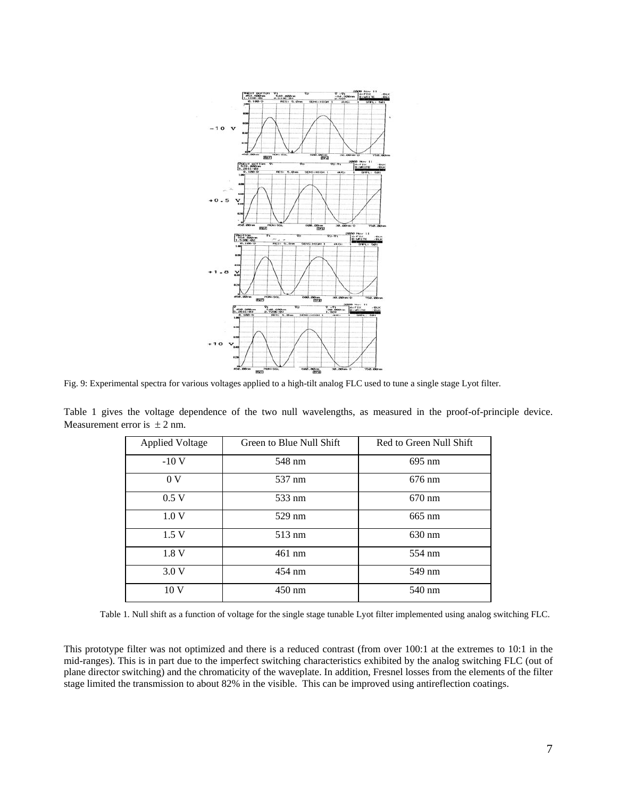

Fig. 9: Experimental spectra for various voltages applied to a high-tilt analog FLC used to tune a single stage Lyot filter.

Table 1 gives the voltage dependence of the two null wavelengths, as measured in the proof-of-principle device. Measurement error is  $\pm 2$  nm.

| <b>Applied Voltage</b> | Green to Blue Null Shift | Red to Green Null Shift |
|------------------------|--------------------------|-------------------------|
| $-10V$                 | 548 nm                   | 695 nm                  |
| 0 <sub>V</sub>         | 537 nm                   | 676 nm                  |
| 0.5V                   | 533 nm                   | $670 \text{ nm}$        |
| 1.0V                   | 529 nm                   | 665 nm                  |
| 1.5V                   | $513 \text{ nm}$         | $630 \text{ nm}$        |
| 1.8V                   | $461$ nm                 | 554 nm                  |
| 3.0V                   | 454 nm                   | 549 nm                  |
| 10 <sub>V</sub>        | $450 \text{ nm}$         | 540 nm                  |

Table 1. Null shift as a function of voltage for the single stage tunable Lyot filter implemented using analog switching FLC.

This prototype filter was not optimized and there is a reduced contrast (from over 100:1 at the extremes to 10:1 in the mid-ranges). This is in part due to the imperfect switching characteristics exhibited by the analog switching FLC (out of plane director switching) and the chromaticity of the waveplate. In addition, Fresnel losses from the elements of the filter stage limited the transmission to about 82% in the visible. This can be improved using antireflection coatings.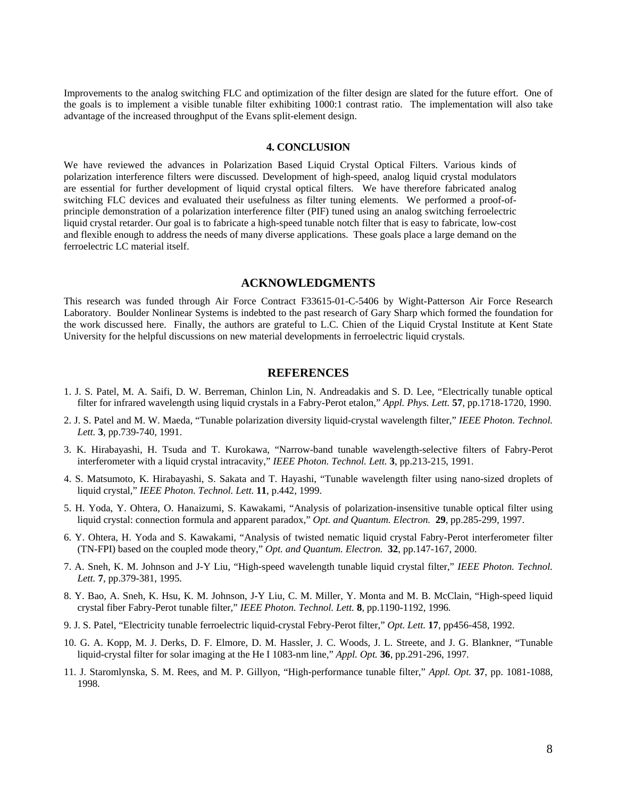Improvements to the analog switching FLC and optimization of the filter design are slated for the future effort. One of the goals is to implement a visible tunable filter exhibiting 1000:1 contrast ratio. The implementation will also take advantage of the increased throughput of the Evans split-element design.

#### **4. CONCLUSION**

We have reviewed the advances in Polarization Based Liquid Crystal Optical Filters. Various kinds of polarization interference filters were discussed. Development of high-speed, analog liquid crystal modulators are essential for further development of liquid crystal optical filters. We have therefore fabricated analog switching FLC devices and evaluated their usefulness as filter tuning elements. We performed a proof-ofprinciple demonstration of a polarization interference filter (PIF) tuned using an analog switching ferroelectric liquid crystal retarder. Our goal is to fabricate a high-speed tunable notch filter that is easy to fabricate, low-cost and flexible enough to address the needs of many diverse applications. These goals place a large demand on the ferroelectric LC material itself.

## **ACKNOWLEDGMENTS**

This research was funded through Air Force Contract F33615-01-C-5406 by Wight-Patterson Air Force Research Laboratory. Boulder Nonlinear Systems is indebted to the past research of Gary Sharp which formed the foundation for the work discussed here. Finally, the authors are grateful to L.C. Chien of the Liquid Crystal Institute at Kent State University for the helpful discussions on new material developments in ferroelectric liquid crystals.

#### **REFERENCES**

- 1. J. S. Patel, M. A. Saifi, D. W. Berreman, Chinlon Lin, N. Andreadakis and S. D. Lee, "Electrically tunable optical filter for infrared wavelength using liquid crystals in a Fabry-Perot etalon," *Appl. Phys. Lett.* **57**, pp.1718-1720, 1990.
- 2. J. S. Patel and M. W. Maeda, "Tunable polarization diversity liquid-crystal wavelength filter," *IEEE Photon. Technol. Lett.* **3**, pp.739-740, 1991.
- 3. K. Hirabayashi, H. Tsuda and T. Kurokawa, "Narrow-band tunable wavelength-selective filters of Fabry-Perot interferometer with a liquid crystal intracavity," *IEEE Photon. Technol. Lett.* **3**, pp.213-215, 1991.
- 4. S. Matsumoto, K. Hirabayashi, S. Sakata and T. Hayashi, "Tunable wavelength filter using nano-sized droplets of liquid crystal," *IEEE Photon. Technol. Lett.* **11**, p.442, 1999.
- 5. H. Yoda, Y. Ohtera, O. Hanaizumi, S. Kawakami, "Analysis of polarization-insensitive tunable optical filter using liquid crystal: connection formula and apparent paradox," *Opt. and Quantum. Electron.* **29**, pp.285-299, 1997.
- 6. Y. Ohtera, H. Yoda and S. Kawakami, "Analysis of twisted nematic liquid crystal Fabry-Perot interferometer filter (TN-FPI) based on the coupled mode theory," *Opt. and Quantum. Electron.* **32**, pp.147-167, 2000.
- 7. A. Sneh, K. M. Johnson and J-Y Liu, "High-speed wavelength tunable liquid crystal filter," *IEEE Photon. Technol. Lett.* **7**, pp.379-381, 1995*.*
- 8. Y. Bao, A. Sneh, K. Hsu, K. M. Johnson, J-Y Liu, C. M. Miller, Y. Monta and M. B. McClain, "High-speed liquid crystal fiber Fabry-Perot tunable filter," *IEEE Photon. Technol. Lett.* **8**, pp.1190-1192, 1996*.*
- 9. J. S. Patel, "Electricity tunable ferroelectric liquid-crystal Febry-Perot filter," *Opt. Lett.* **17**, pp456-458, 1992.
- 10. G. A. Kopp, M. J. Derks, D. F. Elmore, D. M. Hassler, J. C. Woods, J. L. Streete, and J. G. Blankner, "Tunable liquid-crystal filter for solar imaging at the He I 1083-nm line," *Appl. Opt.* **36**, pp.291-296, 1997*.*
- 11. J. Staromlynska, S. M. Rees, and M. P. Gillyon, "High-performance tunable filter," *Appl. Opt.* **37**, pp. 1081-1088, 1998*.*